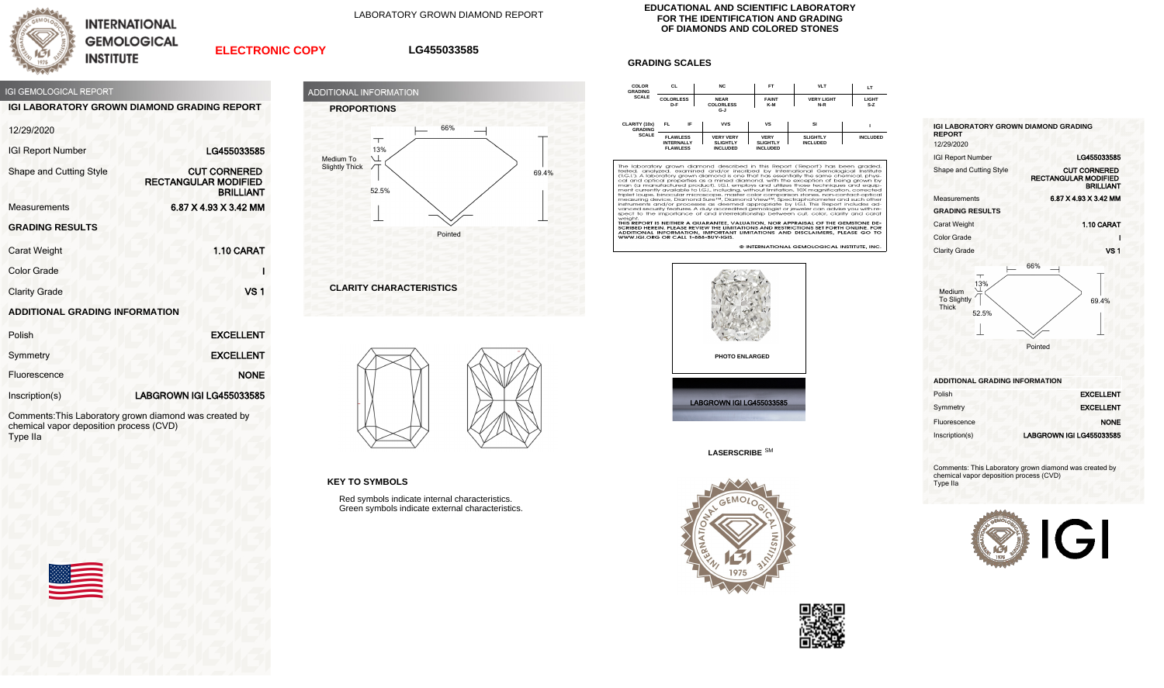

**INTERNATIONAL GEMOLOGICAL INSTITUTE** 

LABORATORY GROWN DIAMOND REPORT

## **ELECTRONIC COPY**

## **LG455033585**



**IGI LABORATORY GROWN DIAMOND GRADING REPORT**

| 12/29/2020 |  |  |
|------------|--|--|
|            |  |  |

| <b>IGI Report Number</b>              | LG455033585                                                            |
|---------------------------------------|------------------------------------------------------------------------|
| Shape and Cutting Style               | <b>CUT CORNERED</b><br><b>RECTANGULAR MODIFIED</b><br><b>BRILLIANT</b> |
| <b>Measurements</b>                   | 6.87 X 4.93 X 3.42 MM                                                  |
| <b>GRADING RESULTS</b>                |                                                                        |
| Carat Weight                          | 1.10 CARAT                                                             |
| <b>Color Grade</b>                    |                                                                        |
| <b>Clarity Grade</b>                  | VS <sub>1</sub>                                                        |
| <b>ADDITIONAL GRADING INFORMATION</b> |                                                                        |

| Polish         | <b>EXCELLENT</b>         |  |
|----------------|--------------------------|--|
| Symmetry       | <b>EXCELLENT</b>         |  |
| Fluorescence   | <b>NONE</b>              |  |
| Inscription(s) | LABGROWN IGI LG455033585 |  |

Comments:This Laboratory grown diamond was created by chemical vapor deposition process (CVD) Type IIa





**CLARITY CHARACTERISTICS**



**KEY TO SYMBOLS**

Red symbols indicate internal characteristics. Green symbols indicate external characteristics.

## **EDUCATIONAL AND SCIENTIFIC LABORATORY FOR THE IDENTIFICATION AND GRADING OF DIAMONDS AND COLORED STONES**

## **GRADING SCALES**



The laboratory grown diamond described in this Report (Report) has been graded, tested, analyzed, examined and/or insertied by intendictional Gemological Institute (1.6.1). A laboratory grown diamond sone that has essentia spect to the importance of and interrelationship between cut, color, clarity and cara

Specific the importance of and interferencies in Detween Cut, Color, Ciamy and Cardi<br>THIS REPORT IS NEITHER A GUARANTEE, VALUATION, NOR APPRAISAL OF THE GEMSTONE DE-<br>SCRIBED HEREIN. PLEASE REVIEW THE LIMITATIONS AND RESTRI

© INTERNATIONAL GEMOLOGICAL INSTITUTE, INC





**LASERSCRIBE** SM





| <b>IGI LABORATORY GROWN DIAMOND GRADING</b><br><b>REPORT</b><br>12/29/2020 |                                                                        |
|----------------------------------------------------------------------------|------------------------------------------------------------------------|
|                                                                            |                                                                        |
| <b>IGI Report Number</b>                                                   | LG455033585                                                            |
| Shape and Cutting Style                                                    | <b>CUT CORNERED</b><br><b>RECTANGULAR MODIFIED</b><br><b>BRILLIANT</b> |
| Measurements                                                               | 6.87 X 4.93 X 3.42 MM                                                  |
| <b>GRADING RESULTS</b>                                                     |                                                                        |
| <b>Carat Weight</b>                                                        | 1.10 CARAT                                                             |
| Color Grade                                                                |                                                                        |
| <b>Clarity Grade</b>                                                       | <b>VS1</b>                                                             |
|                                                                            | 66%                                                                    |



**ADDITIONAL GRADING INFORMATION**

| Polish         | <b>EXCELLENT</b>         |
|----------------|--------------------------|
| Symmetry       | <b>EXCELLENT</b>         |
| Fluorescence   | <b>NONE</b>              |
| Inscription(s) | LABGROWN IGI LG455033585 |

Comments: This Laboratory grown diamond was created by chemical vapor deposition process (CVD) Type IIa